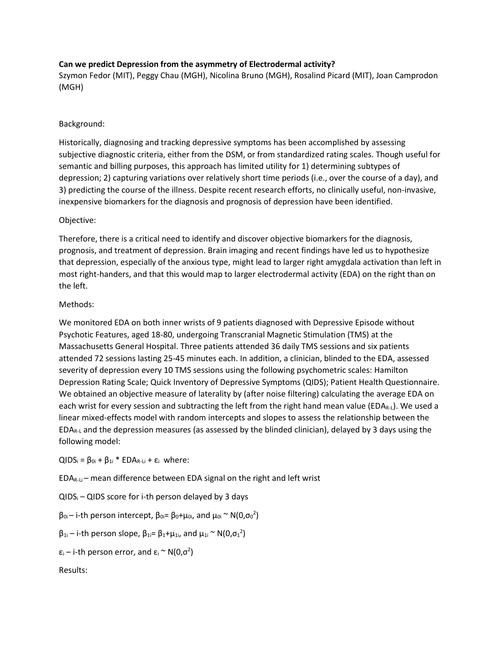# **Can we predict Depression from the asymmetry of Electrodermal activity?**

Szymon Fedor (MIT), Peggy Chau (MGH), Nicolina Bruno (MGH), Rosalind Picard (MIT), Joan Camprodon (MGH)

# Background:

Historically, diagnosing and tracking depressive symptoms has been accomplished by assessing subjective diagnostic criteria, either from the DSM, or from standardized rating scales. Though useful for semantic and billing purposes, this approach has limited utility for 1) determining subtypes of depression; 2) capturing variations over relatively short time periods (i.e., over the course of a day), and 3) predicting the course of the illness. Despite recent research efforts, no clinically useful, non-invasive, inexpensive biomarkers for the diagnosis and prognosis of depression have been identified.

## Objective:

Therefore, there is a critical need to identify and discover objective biomarkers for the diagnosis, prognosis, and treatment of depression. Brain imaging and recent findings have led us to hypothesize that depression, especially of the anxious type, might lead to larger right amygdala activation than left in most right-handers, and that this would map to larger electrodermal activity (EDA) on the right than on the left.

## Methods:

We monitored EDA on both inner wrists of 9 patients diagnosed with Depressive Episode without Psychotic Features, aged 18-80, undergoing Transcranial Magnetic Stimulation (TMS) at the Massachusetts General Hospital. Three patients attended 36 daily TMS sessions and six patients attended 72 sessions lasting 25-45 minutes each. In addition, a clinician, blinded to the EDA, assessed severity of depression every 10 TMS sessions using the following psychometric scales: Hamilton Depression Rating Scale; Quick Inventory of Depressive Symptoms (QIDS); Patient Health Questionnaire. We obtained an objective measure of laterality by (after noise filtering) calculating the average EDA on each wrist for every session and subtracting the left from the right hand mean value ( $EDA_{R-L}$ ). We used a linear mixed-effects model with random intercepts and slopes to assess the relationship between the EDAR-L and the depression measures (as assessed by the blinded clinician), delayed by 3 days using the following model:

 $QIDS_i = \beta_{0i} + \beta_{1i} * EDA_{R-Li} + \varepsilon_i$  where:

 $EDA_{R-Li}$  – mean difference between EDA signal on the right and left wrist

 $QIDS_i - QIDS$  score for i-th person delayed by 3 days

 $\beta_{0i}$ – i-th person intercept,  $\beta_{0i}$ = β<sub>0</sub>+ $\mu_{0i}$ , and  $\mu_{0i} \sim N(0,\sigma_0^2)$ 

 $\beta_{1i}$  – i-th person slope,  $\beta_{1i}$ = β<sub>1</sub>+ $\mu_{1i}$ , and  $\mu_{1i} \sim N(0, \sigma_1^2)$ 

 $\varepsilon_i$  – i-th person error, and  $\varepsilon_i \sim N(0,\sigma^2)$ 

Results: